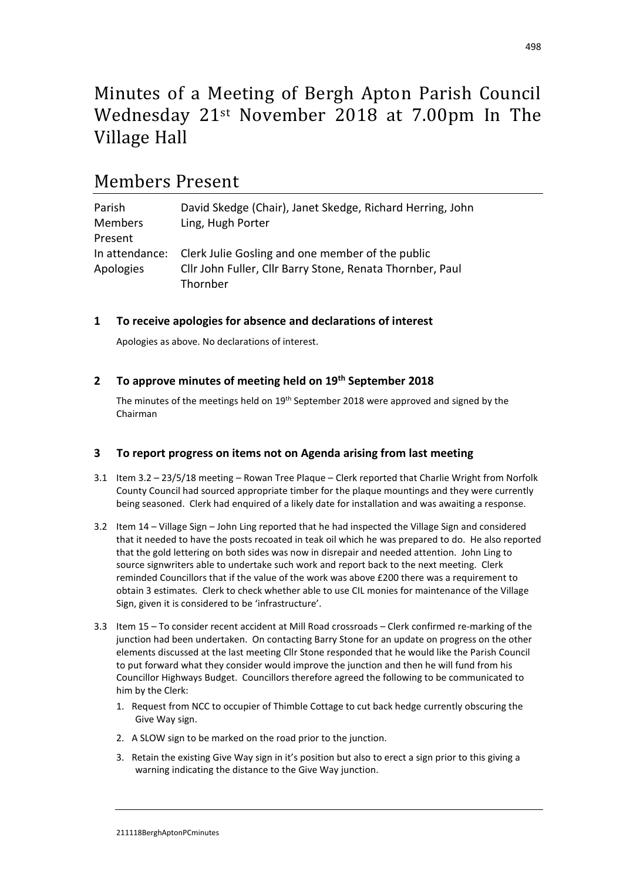# Minutes of a Meeting of Bergh Apton Parish Council Wednesday 21st November 2018 at 7.00pm In The Village Hall

# Members Present

| Parish         | David Skedge (Chair), Janet Skedge, Richard Herring, John |
|----------------|-----------------------------------------------------------|
| <b>Members</b> | Ling, Hugh Porter                                         |
| Present        |                                                           |
| In attendance: | Clerk Julie Gosling and one member of the public          |
| Apologies      | Cllr John Fuller, Cllr Barry Stone, Renata Thornber, Paul |
|                | Thornber                                                  |

# **1 To receive apologies for absence and declarations of interest**

Apologies as above. No declarations of interest.

### **2 To approve minutes of meeting held on 19th September 2018**

The minutes of the meetings held on  $19<sup>th</sup>$  September 2018 were approved and signed by the Chairman

#### **3 To report progress on items not on Agenda arising from last meeting**

- 3.1 Item 3.2 23/5/18 meeting Rowan Tree Plaque Clerk reported that Charlie Wright from Norfolk County Council had sourced appropriate timber for the plaque mountings and they were currently being seasoned. Clerk had enquired of a likely date for installation and was awaiting a response.
- 3.2 Item 14 Village Sign John Ling reported that he had inspected the Village Sign and considered that it needed to have the posts recoated in teak oil which he was prepared to do. He also reported that the gold lettering on both sides was now in disrepair and needed attention. John Ling to source signwriters able to undertake such work and report back to the next meeting. Clerk reminded Councillors that if the value of the work was above £200 there was a requirement to obtain 3 estimates. Clerk to check whether able to use CIL monies for maintenance of the Village Sign, given it is considered to be 'infrastructure'.
- 3.3 Item 15 To consider recent accident at Mill Road crossroads Clerk confirmed re-marking of the junction had been undertaken. On contacting Barry Stone for an update on progress on the other elements discussed at the last meeting Cllr Stone responded that he would like the Parish Council to put forward what they consider would improve the junction and then he will fund from his Councillor Highways Budget. Councillors therefore agreed the following to be communicated to him by the Clerk:
	- 1. Request from NCC to occupier of Thimble Cottage to cut back hedge currently obscuring the Give Way sign.
	- 2. A SLOW sign to be marked on the road prior to the junction.
	- 3. Retain the existing Give Way sign in it's position but also to erect a sign prior to this giving a warning indicating the distance to the Give Way junction.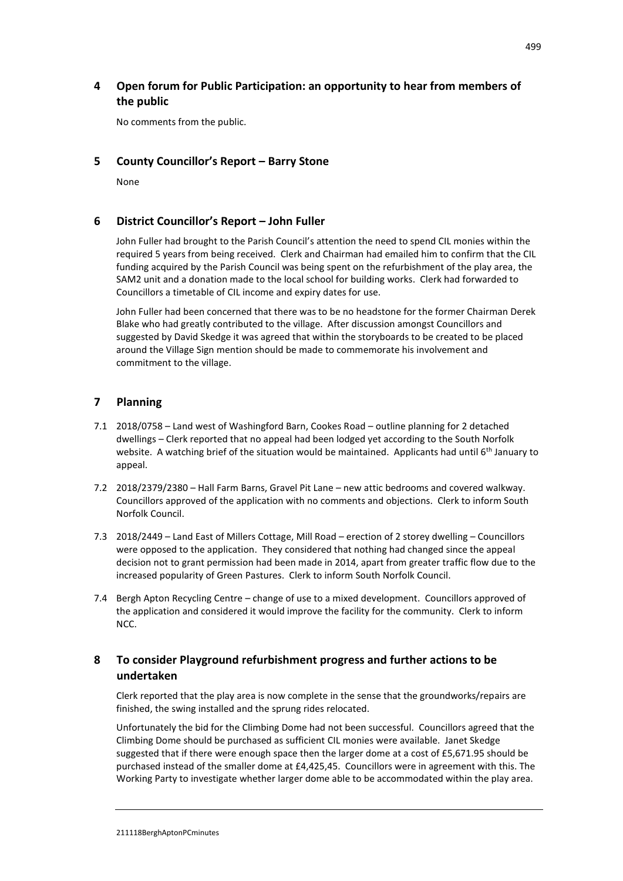# **4 Open forum for Public Participation: an opportunity to hear from members of the public**

No comments from the public.

### **5 County Councillor's Report – Barry Stone**

None

#### **6 District Councillor's Report – John Fuller**

John Fuller had brought to the Parish Council's attention the need to spend CIL monies within the required 5 years from being received. Clerk and Chairman had emailed him to confirm that the CIL funding acquired by the Parish Council was being spent on the refurbishment of the play area, the SAM2 unit and a donation made to the local school for building works. Clerk had forwarded to Councillors a timetable of CIL income and expiry dates for use.

John Fuller had been concerned that there was to be no headstone for the former Chairman Derek Blake who had greatly contributed to the village. After discussion amongst Councillors and suggested by David Skedge it was agreed that within the storyboards to be created to be placed around the Village Sign mention should be made to commemorate his involvement and commitment to the village.

### **7 Planning**

- 7.1 2018/0758 Land west of Washingford Barn, Cookes Road outline planning for 2 detached dwellings – Clerk reported that no appeal had been lodged yet according to the South Norfolk website. A watching brief of the situation would be maintained. Applicants had until 6<sup>th</sup> January to appeal.
- 7.2 2018/2379/2380 Hall Farm Barns, Gravel Pit Lane new attic bedrooms and covered walkway. Councillors approved of the application with no comments and objections. Clerk to inform South Norfolk Council.
- 7.3 2018/2449 Land East of Millers Cottage, Mill Road erection of 2 storey dwelling Councillors were opposed to the application. They considered that nothing had changed since the appeal decision not to grant permission had been made in 2014, apart from greater traffic flow due to the increased popularity of Green Pastures. Clerk to inform South Norfolk Council.
- 7.4 Bergh Apton Recycling Centre change of use to a mixed development. Councillors approved of the application and considered it would improve the facility for the community. Clerk to inform NCC.

# **8 To consider Playground refurbishment progress and further actions to be undertaken**

Clerk reported that the play area is now complete in the sense that the groundworks/repairs are finished, the swing installed and the sprung rides relocated.

Unfortunately the bid for the Climbing Dome had not been successful. Councillors agreed that the Climbing Dome should be purchased as sufficient CIL monies were available. Janet Skedge suggested that if there were enough space then the larger dome at a cost of £5,671.95 should be purchased instead of the smaller dome at £4,425,45. Councillors were in agreement with this. The Working Party to investigate whether larger dome able to be accommodated within the play area.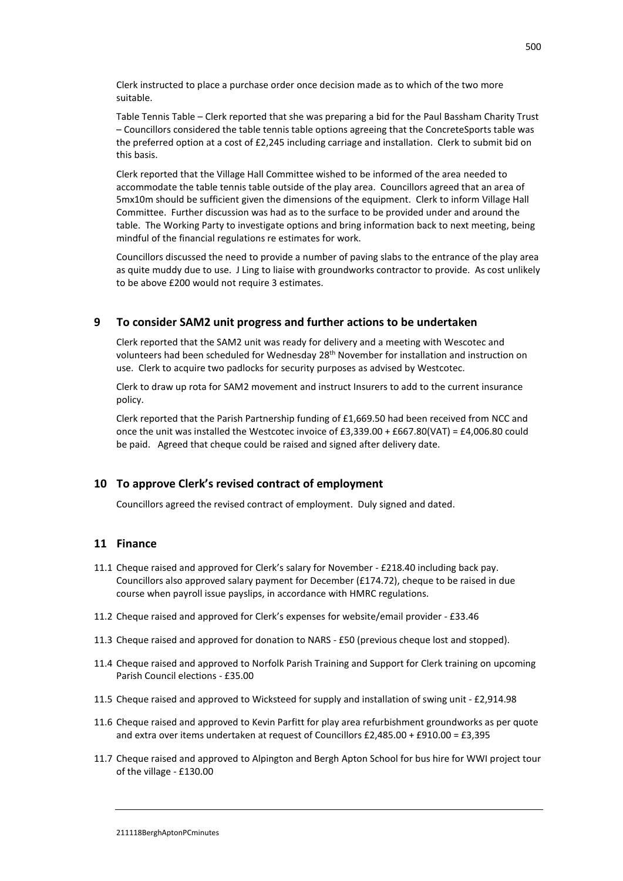Clerk instructed to place a purchase order once decision made as to which of the two more suitable.

Table Tennis Table – Clerk reported that she was preparing a bid for the Paul Bassham Charity Trust – Councillors considered the table tennis table options agreeing that the ConcreteSports table was the preferred option at a cost of £2,245 including carriage and installation. Clerk to submit bid on this basis.

Clerk reported that the Village Hall Committee wished to be informed of the area needed to accommodate the table tennis table outside of the play area. Councillors agreed that an area of 5mx10m should be sufficient given the dimensions of the equipment. Clerk to inform Village Hall Committee. Further discussion was had as to the surface to be provided under and around the table. The Working Party to investigate options and bring information back to next meeting, being mindful of the financial regulations re estimates for work.

Councillors discussed the need to provide a number of paving slabs to the entrance of the play area as quite muddy due to use. J Ling to liaise with groundworks contractor to provide. As cost unlikely to be above £200 would not require 3 estimates.

#### **9 To consider SAM2 unit progress and further actions to be undertaken**

Clerk reported that the SAM2 unit was ready for delivery and a meeting with Wescotec and volunteers had been scheduled for Wednesday 28<sup>th</sup> November for installation and instruction on use. Clerk to acquire two padlocks for security purposes as advised by Westcotec.

Clerk to draw up rota for SAM2 movement and instruct Insurers to add to the current insurance policy.

Clerk reported that the Parish Partnership funding of £1,669.50 had been received from NCC and once the unit was installed the Westcotec invoice of £3,339.00 + £667.80(VAT) = £4,006.80 could be paid. Agreed that cheque could be raised and signed after delivery date.

#### **10 To approve Clerk's revised contract of employment**

Councillors agreed the revised contract of employment. Duly signed and dated.

#### **11 Finance**

- 11.1 Cheque raised and approved for Clerk's salary for November £218.40 including back pay. Councillors also approved salary payment for December (£174.72), cheque to be raised in due course when payroll issue payslips, in accordance with HMRC regulations.
- 11.2 Cheque raised and approved for Clerk's expenses for website/email provider £33.46
- 11.3 Cheque raised and approved for donation to NARS £50 (previous cheque lost and stopped).
- 11.4 Cheque raised and approved to Norfolk Parish Training and Support for Clerk training on upcoming Parish Council elections - £35.00
- 11.5 Cheque raised and approved to Wicksteed for supply and installation of swing unit £2,914.98
- 11.6 Cheque raised and approved to Kevin Parfitt for play area refurbishment groundworks as per quote and extra over items undertaken at request of Councillors £2,485.00 + £910.00 = £3,395
- 11.7 Cheque raised and approved to Alpington and Bergh Apton School for bus hire for WWI project tour of the village - £130.00

#### 211118BerghAptonPCminutes